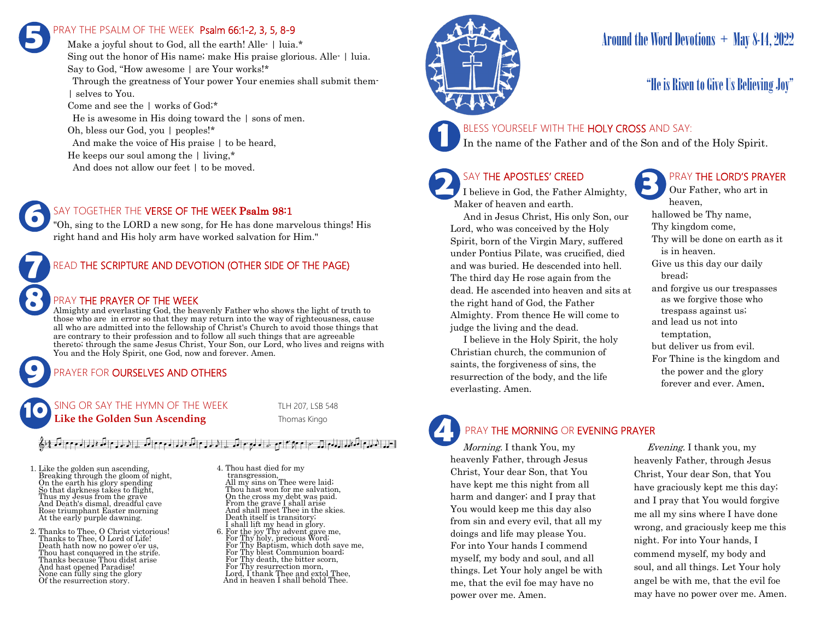# PRAY THE PSALM OF THE WEEK Psalm 66:1-2, 3, 5, 8-9 **5**

Make a joyful shout to God, all the earth! Alle- | luia.\* Sing out the honor of His name; make His praise glorious. Alle- | luia. Say to God, "How awesome | are Your works!\* Through the greatness of Your power Your enemies shall submit them- | selves to You. Come and see the | works of God;\* He is awesome in His doing toward the | sons of men. Oh, bless our God, you | peoples!\* And make the voice of His praise | to be heard, He keeps our soul among the | living,\*

And does not allow our feet  $\vert$  to be moved.

### SAY TOGETHER THE VERSE OF THE WEEK Psalm 98:1

"Oh, sing to the LORD a new song, for He has done marvelous things! His right hand and His holy arm have worked salvation for Him."

## READ THE SCRIPTURE AND DEVOTION (OTHER SIDE OF THE PAGE)

### PRAY THE PRAYER OF THE WEEK

Almighty and everlasting God, the heavenly Father who shows the light of truth to those who are in error so that they may return into the way of righteousness, cause all who are admitted into the fellowship of Christ's Church to avoid those things that are contrary to their profession and to follow all such things that are agreeable thereto; through the same Jesus Christ, Your Son, our Lord, who lives and reigns with You and the Holy Spirit, one God, now and forever. Amen.

## PRAYER FOR **OURSELVES AND OTHERS**

SING OR SAY THE HYMN OF THE WEEK TLH 207, LSB 548 **Like the Golden Sun Ascending** Thomas Kingo **10**

## إ-له الدليام المكفوط الدوم إن سيام 10 م 10 م الدليع مواليك إلى الدليام المكتبة الموم وسيام المالية المالي الملج

1. Like the golden sun ascending, Breaking through the gloom of night, On the earth his glory spending So that darkness takes to flight, Thus my Jesus from the grave And Death's dismal, dreadful cave Rose triumphant Easter morning At the early purple dawning.

**9**

**8**

**7**

**6**

2. Thanks to Thee, O Christ victorious! Thanks to Thee, O Lord of Life! Death hath now no power o'er us, Thou hast conquered in the strife. Thanks because Thou didst arise And hast opened Paradise! None can fully sing the glory Of the resurrection story.

4. Thou hast died for my transgression, All my sins on Thee were laid; Thou hast won for me salvation, On the cross my debt was paid. From the grave I shall arise And shall meet Thee in the skies. Death itself is transitory; I shall lift my head in glory. 6. For the joy Thy advent gave me, For Thy holy, precious Word; For Thy Baptism, which doth save me, For Thy blest Communion board; For Thy death, the bitter scorn, For Thy resurrection morn, Lord, I thank Thee and extol Thee, And in heaven I shall behold Thee.



# Around the Word Devotions  $+$  May 8-14, 2022

# "He is Risen to Give Us Believing Joy"

## BLESS YOURSELF WITH THE HOLY CROSS AND SAY:

In the name of the Father and of the Son and of the Holy Spirit.

# SAY THE APOSTLES' CREED

**2 SAY THE APOSTLES' CREED I** believe in God, the Father Almighty, Maker of heaven and earth.

 And in Jesus Christ, His only Son, our Lord, who was conceived by the Holy Spirit, born of the Virgin Mary, suffered under Pontius Pilate, was crucified, died and was buried. He descended into hell. The third day He rose again from the dead. He ascended into heaven and sits at the right hand of God, the Father Almighty. From thence He will come to judge the living and the dead.

 I believe in the Holy Spirit, the holy Christian church, the communion of saints, the forgiveness of sins, the resurrection of the body, and the life everlasting. Amen.

## PRAY THE LORD'S PRAYER

Our Father, who art in heaven, hallowed be Thy name, Thy kingdom come, Thy will be done on earth as it is in heaven. Give us this day our daily bread; and forgive us our trespasses as we forgive those who trespass against us; and lead us not into temptation, but deliver us from evil. For Thine is the kingdom and the power and the glory forever and ever. Amen.

# PRAY THE MORNING OR EVENING PRAYER

Morning. I thank You, my heavenly Father, through Jesus Christ, Your dear Son, that You have kept me this night from all harm and danger; and I pray that You would keep me this day also from sin and every evil, that all my doings and life may please You. For into Your hands I commend myself, my body and soul, and all things. Let Your holy angel be with me, that the evil foe may have no power over me. Amen. **4**

 Evening. I thank you, my heavenly Father, through Jesus Christ, Your dear Son, that You have graciously kept me this day; and I pray that You would forgive me all my sins where I have done wrong, and graciously keep me this night. For into Your hands, I commend myself, my body and soul, and all things. Let Your holy angel be with me, that the evil foe may have no power over me. Amen.